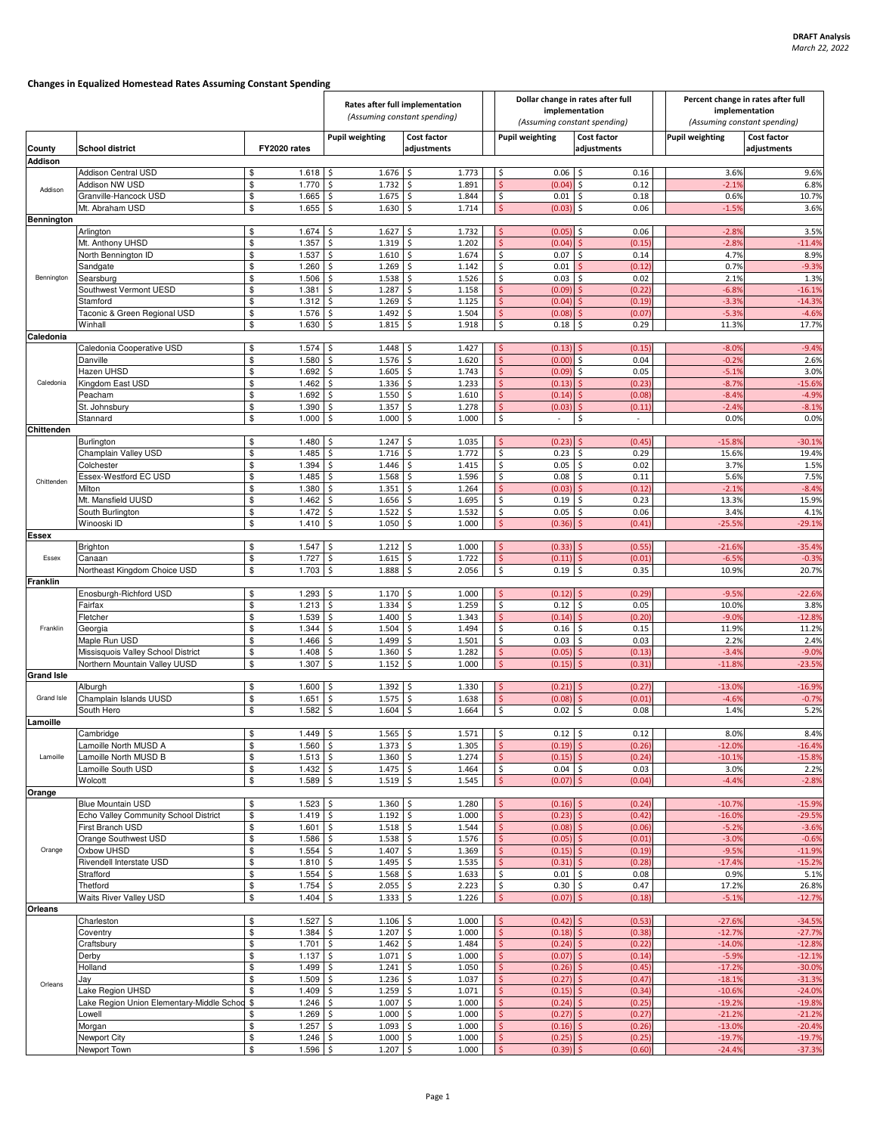## Changes in Equalized Homestead Rates Assuming Constant Spending

|                                                                                                        |                                           |                                      | Rates after full implementation<br>(Assuming constant spending) |                            |  | Dollar change in rates after full<br>implementation          |                              |  | Percent change in rates after full<br>implementation |                            |
|--------------------------------------------------------------------------------------------------------|-------------------------------------------|--------------------------------------|-----------------------------------------------------------------|----------------------------|--|--------------------------------------------------------------|------------------------------|--|------------------------------------------------------|----------------------------|
|                                                                                                        |                                           |                                      |                                                                 |                            |  | (Assuming constant spending)                                 |                              |  | (Assuming constant spending)                         |                            |
| County                                                                                                 | <b>School district</b>                    | FY2020 rates                         | <b>Pupil weighting</b>                                          | Cost factor<br>adjustments |  | <b>Pupil weighting</b>                                       | Cost factor<br>adjustments   |  | <b>Pupil weighting</b>                               | Cost factor<br>adjustments |
| <b>Addison</b>                                                                                         |                                           |                                      |                                                                 |                            |  |                                                              |                              |  |                                                      |                            |
| Addison                                                                                                | Addison Central USD<br>Addison NW USD     | 1.618<br>\$<br>\$<br>1.770           | l\$<br>$1.676$ \$<br>1.732<br>\$                                | 1.773<br>l\$<br>1.891      |  | 0.06<br>\$<br>Ś<br>(0.04)                                    | 0.16<br>Ŝ.<br>0.12<br>\$     |  | 3.6%<br>$-2.19$                                      | 9.6%<br>6.8%               |
|                                                                                                        | Granville-Hancock USD                     | \$<br>1.665                          | \$<br>1.675                                                     | \$<br>1.844                |  | \$<br>0.01                                                   | 0.18<br>\$                   |  | 0.6%                                                 | 10.7%                      |
|                                                                                                        | Mt. Abraham USD                           | \$<br>1.655                          | 1.630<br>\$                                                     | \$<br>1.714                |  | (0.03)<br>\$                                                 | 0.06<br>Ś.                   |  | $-1.5%$                                              | 3.6%                       |
| Bennington                                                                                             |                                           |                                      |                                                                 |                            |  |                                                              |                              |  |                                                      |                            |
|                                                                                                        | Arlington                                 | \$<br>1.674                          | 1.627<br>\$                                                     | 1.732<br>Ś                 |  | (0.05)                                                       | 0.06                         |  | $-2.8%$                                              | 3.5%                       |
|                                                                                                        | Mt. Anthony UHSD                          | \$<br>1.357                          | \$<br>1.319                                                     | \$<br>1.202                |  | Ś<br>(0.04)                                                  | (0.15)                       |  | $-2.8%$                                              | $-11.4%$                   |
|                                                                                                        | North Bennington ID<br>Sandgate           | \$<br>1.537<br>\$<br>1.260           | 1.610<br>\$<br>\$<br>1.269                                      | 1.674<br>\$<br>\$<br>1.142 |  | \$<br>0.07<br>\$<br>0.01                                     | 0.14<br>Ŝ<br>(0.12)          |  | 4.7%<br>0.7%                                         | 8.9%<br>$-9.3%$            |
| Bennington                                                                                             | Searsburg                                 | \$<br>1.506                          | \$<br>1.538                                                     | \$<br>1.526                |  | \$<br>0.03                                                   | 0.02<br>\$                   |  | 2.1%                                                 | 1.3%                       |
|                                                                                                        | Southwest Vermont UESD                    | \$<br>1.381                          | \$<br>1.287                                                     | \$<br>1.158                |  | $\ddot{\mathsf{S}}$<br>(0.09)                                | (0.22)                       |  | $-6.89$                                              | $-16.1%$                   |
|                                                                                                        | Stamford                                  | \$<br>1.312                          | \$<br>1.269                                                     | \$<br>1.125                |  | (0.04)<br>\$                                                 | (0.19)                       |  | $-3.3%$                                              | $-14.3%$                   |
|                                                                                                        | Taconic & Green Regional USD              | \$<br>1.576                          | \$<br>1.492                                                     | \$<br>1.504                |  | Ś<br>(0.08)                                                  | (0.07)                       |  | $-5.3%$                                              | $-4.6%$                    |
|                                                                                                        | Winhall                                   | \$<br>1.630                          | Ś<br>1.815                                                      | \$<br>1.918                |  | \$<br>0.18                                                   | 0.29                         |  | 11.3%                                                | 17.7%                      |
| Caledonia<br>Caledonia Cooperative USD<br>1.574<br>$1.448$ \$<br>1.427<br>\$<br>Ś<br>(0.13)<br>$-8.0%$ |                                           |                                      |                                                                 |                            |  |                                                              |                              |  | $-9.4%$                                              |                            |
|                                                                                                        | Danville                                  | \$<br>\$<br>1.580                    | \$<br>1.576                                                     | \$<br>1.620                |  | $\ddot{\mathsf{S}}$<br>(0.00)                                | (0.15)<br>0.04<br>\$.        |  | $-0.2%$                                              | 2.6%                       |
|                                                                                                        | Hazen UHSD                                | \$<br>1.692                          | \$<br>1.605                                                     | \$<br>1.743                |  | \$<br>(0.09)                                                 | 0.05<br>\$.                  |  | $-5.1%$                                              | 3.0%                       |
| Caledonia                                                                                              | Kingdom East USD                          | \$<br>1.462                          | \$<br>1.336                                                     | \$<br>1.233                |  | Š.<br>(0.13)                                                 | (0.23)                       |  | $-8.7%$                                              | $-15.6%$                   |
|                                                                                                        | Peacham                                   | \$<br>1.692                          | Ś<br>1.550                                                      | 1.610<br>\$                |  | (0.14)<br>\$                                                 | (0.08)                       |  | $-8.4%$                                              | $-4.9%$                    |
|                                                                                                        | St. Johnsbury                             | \$<br>1.390                          | \$<br>1.357                                                     | \$<br>1.278                |  | \$<br>(0.03)                                                 | (0.11)                       |  | $-2.49$                                              | $-8.1%$                    |
|                                                                                                        | Stannard                                  | \$<br>1.000                          | \$<br>1.000                                                     | \$<br>1.000                |  | \$<br>$\sim$                                                 | \$.<br>$\sim$                |  | 0.0%                                                 | 0.0%                       |
| Chittenden                                                                                             | Burlington                                | 1.480<br>\$                          | \$<br>1.247                                                     | 1.035<br>\$.               |  | Ś<br>(0.23)                                                  | (0.45)                       |  | $-15.8%$                                             | $-30.1%$                   |
|                                                                                                        | Champlain Valley USD                      | \$<br>1.485                          | \$<br>1.716                                                     | \$<br>1.772                |  | \$<br>0.23                                                   | 0.29                         |  | 15.6%                                                | 19.4%                      |
|                                                                                                        | Colchester                                | \$<br>1.394                          | \$<br>1.446                                                     | \$<br>1.415                |  | \$<br>0.05                                                   | 0.02<br>Ŝ.                   |  | 3.7%                                                 | 1.5%                       |
| Chittenden                                                                                             | Essex-Westford EC USD                     | \$<br>1.485                          | \$<br>1.568                                                     | \$<br>1.596                |  | \$<br>0.08                                                   | 0.11<br>\$                   |  | 5.6%                                                 | 7.5%                       |
|                                                                                                        | Milton                                    | \$<br>1.380                          | Ś<br>1.351                                                      | \$<br>1.264                |  | Ś<br>(0.03)                                                  | (0.12)                       |  | $-2.1%$                                              | $-8.4%$                    |
|                                                                                                        | Mt. Mansfield UUSD                        | \$<br>1.462                          | 1.656<br>\$                                                     | 1.695<br>\$                |  | \$<br>0.19                                                   | 0.23                         |  | 13.3%                                                | 15.9%                      |
|                                                                                                        | South Burlington                          | \$<br>1.472                          | \$<br>1.522                                                     | \$<br>1.532                |  | \$<br>0.05                                                   | \$<br>0.06                   |  | 3.4%                                                 | 4.1%                       |
| <b>Essex</b>                                                                                           | Winooski ID                               | \$<br>1.410                          | Ś<br>1.050                                                      | \$<br>1.000                |  | Š.<br>(0.36)                                                 | (0.41)                       |  | $-25.59$                                             | $-29.1%$                   |
|                                                                                                        | <b>Brighton</b>                           | 1.547<br>\$                          | $1.212 \quad$ \$<br>l \$                                        | 1.000                      |  | (0.33)<br>Š.                                                 | (0.55)                       |  | $-21.6%$                                             | $-35.4%$                   |
| Essex                                                                                                  | Canaan                                    | \$<br>1.727                          | \$<br>1.615                                                     | \$<br>1.722                |  | Ś<br>(0.11)                                                  | (0.01)                       |  | $-6.59$                                              | $-0.3%$                    |
|                                                                                                        | Northeast Kingdom Choice USD              | \$<br>1.703                          | \$<br>1.888                                                     | \$<br>2.056                |  | \$<br>0.19                                                   | 0.35                         |  | 10.9%                                                | 20.7%                      |
| <b>Franklin</b>                                                                                        |                                           |                                      |                                                                 |                            |  |                                                              |                              |  |                                                      |                            |
|                                                                                                        | Enosburgh-Richford USD                    | \$<br>1.293                          | $\mathsf{S}$<br>$1.170$ \$                                      | 1.000                      |  | (0.12)<br>S.                                                 | (0.29)                       |  | $-9.5%$                                              | $-22.6%$                   |
|                                                                                                        | Fairfax<br>Fletcher                       | \$<br>1.213<br>\$<br>1.539           | \$<br>1.334<br>\$<br>1.400                                      | \$<br>1.259<br>\$<br>1.343 |  | \$<br>0.12<br>$\ddot{\mathsf{S}}$<br>(0.14)                  | 0.05<br>Ś<br>(0.20)          |  | 10.0%<br>$-9.0%$                                     | 3.8%<br>$-12.8%$           |
| Franklin                                                                                               | Georgia                                   | \$<br>1.344                          | 1.504<br>\$                                                     | \$<br>1.494                |  | \$<br>0.16                                                   | 0.15<br>ς.                   |  | 11.9%                                                | 11.2%                      |
|                                                                                                        | Maple Run USD                             | \$<br>1.466                          | 1.499<br>\$                                                     | \$<br>1.501                |  | \$<br>0.03                                                   | 0.03<br>\$                   |  | 2.2%                                                 | 2.4%                       |
|                                                                                                        | Missisquois Valley School District        | \$<br>1.408                          | Ŝ.<br>1.360                                                     | \$<br>1.282                |  | $\ddot{\mathsf{S}}$<br>(0.05)                                | (0.13)                       |  | $-3.4%$                                              | $-9.0%$                    |
|                                                                                                        | Northern Mountain Valley UUSD             | \$<br>1.307                          | $\ddot{\mathsf{S}}$<br>1.152                                    | \$<br>1.000                |  | Ś<br>(0.15)                                                  | (0.31)                       |  | $-11.8%$                                             | $-23.5%$                   |
| <b>Grand Isle</b>                                                                                      |                                           |                                      |                                                                 |                            |  |                                                              |                              |  |                                                      |                            |
| Grand Isle                                                                                             | Alburgh<br>Champlain Islands UUSD         | 1.600<br>\$<br>\$<br>1.651           | 1.392<br>\$<br>1.575<br>\$                                      | 1.330<br>\$<br>1.638<br>\$ |  | (0.21)<br>Ś<br>\$<br>(0.08)                                  | (0.27)<br>(0.01)             |  | $-13.0%$<br>$-4.69$                                  | $-16.9%$<br>$-0.7%$        |
|                                                                                                        | South Hero                                | \$<br>1.582                          | \$<br>1.604                                                     | 1.664<br>\$                |  | \$<br>0.02                                                   | 0.08                         |  | 1.4%                                                 | 5.2%                       |
| Lamoille                                                                                               |                                           |                                      |                                                                 |                            |  |                                                              |                              |  |                                                      |                            |
|                                                                                                        | Cambridge                                 | $1.449$ \$<br>\$                     | $1.565$ \$                                                      | 1.571                      |  | 1۶<br>$0.12$ \$                                              | 0.12                         |  | 8.0%                                                 | 8.4%                       |
|                                                                                                        | Lamoille North MUSD A                     | \$<br>$1.560$ \$                     | $1.373$ \$                                                      | 1.305                      |  | $\frac{1}{2}$<br>(0.19)                                      | $\mathsf{S}$<br>(0.26)       |  | $-12.0%$                                             | $-16.4%$                   |
| Lamoille                                                                                               | Lamoille North MUSD B                     | \$<br>$1.513$ \$                     | $1.360 \pm 1.360$                                               | 1.274                      |  | $\mathsf{S}$<br>(0.15)                                       | (0.24)<br>Š.                 |  | $-10.1%$                                             | $-15.8%$                   |
|                                                                                                        | Lamoille South USD                        | $1.432$ \$<br>\$                     | $1.475$ \$                                                      | 1.464                      |  | \$<br>$0.04$ \$                                              | 0.03                         |  | 3.0%                                                 | 2.2%                       |
| Orange                                                                                                 | Wolcott                                   | \$<br>1.589S                         | $1.519$ \$                                                      | 1.545                      |  | $\frac{1}{2}$<br>$(0.07)$ \$                                 | (0.04)                       |  | $-4.4%$                                              | $-2.8%$                    |
|                                                                                                        | <b>Blue Mountain USD</b>                  | \$<br>$1.523$ \$                     | $1.360 \, \simeq$                                               | 1.280                      |  | \$<br>$(0.16)$ \$                                            | (0.24)                       |  | $-10.7%$                                             | $-15.9%$                   |
|                                                                                                        | Echo Valley Community School District     | \$<br>$1.419$ \$                     | $1.192 \,$ \$                                                   | 1.000                      |  | \$<br>(0.23)                                                 | (0.42)                       |  | $-16.0%$                                             | $-29.5%$                   |
|                                                                                                        | First Branch USD                          | \$<br>$1.601$ \$                     | $1.518$ \$                                                      | 1.544                      |  | $\frac{1}{2}$<br>(0.08)                                      | (0.06)                       |  | $-5.2%$                                              | $-3.6%$                    |
|                                                                                                        | Orange Southwest USD                      | \$<br>$1.586$ \$                     | $1.538$ \$                                                      | 1.576                      |  | $\mathsf{S}$<br>(0.05)                                       | (0.01)<br>Ŝ.                 |  | $-3.0%$                                              | $-0.6%$                    |
| Orange                                                                                                 | Oxbow UHSD                                | \$<br>$1.554$ \$                     | $1.407$ \$                                                      | 1.369                      |  | \$<br>(0.15)                                                 | (0.19)                       |  | $-9.5%$                                              | $-11.9%$                   |
|                                                                                                        | Rivendell Interstate USD                  | \$<br>$1.810 - 5$                    | $1.495$ \$                                                      | 1.535                      |  | $\ddot{\varsigma}$<br>(0.31)<br>\$                           | (0.28)                       |  | $-17.4%$                                             | $-15.2%$                   |
|                                                                                                        | Strafford<br>Thetford                     | \$<br>$1.554$ \$<br>\$<br>$1.754$ \$ | $1.568$ \$<br>$2.055$ \$                                        | 1.633<br>2.223             |  | 0.01<br>\$<br>0.30                                           | 0.08<br>\$<br>0.47<br>\$     |  | 0.9%<br>17.2%                                        | 5.1%<br>26.8%              |
|                                                                                                        | Waits River Valley USD                    | \$<br>$1.404$ \$                     | $1.333$ \$                                                      | 1.226                      |  | $\frac{1}{2}$<br>(0.07)                                      | $\mathsf{S}$<br>(0.18)       |  | $-5.1%$                                              | $-12.7%$                   |
| <b>Orleans</b>                                                                                         |                                           |                                      |                                                                 |                            |  |                                                              |                              |  |                                                      |                            |
| Orleans                                                                                                | Charleston                                | $1.527$ \$<br>\$                     | $1.106$ \$                                                      | 1.000                      |  | (0.42)<br>\$                                                 | (0.53)                       |  | $-27.6%$                                             | $-34.5%$                   |
|                                                                                                        | Coventry                                  | \$<br>$1.384$ \$                     | $1.207 \pm 5$                                                   | 1.000                      |  | $\frac{1}{2}$<br>(0.18)                                      | (0.38)<br>S.                 |  | $-12.7%$                                             | $-27.7%$                   |
|                                                                                                        | Craftsbury                                | \$<br>$1.701$ \$                     | $1.462 \div$                                                    | 1.484                      |  | $\frac{1}{2}$<br>$(0.24)$ \$                                 | (0.22)                       |  | $-14.0%$                                             | $-12.8%$                   |
|                                                                                                        | Derby<br>Holland                          | \$<br>$1.137$ \$<br>\$<br>$1.499$ \$ | $1.071 \;$ \$<br>$1.241 \pm 5$                                  | 1.000<br>1.050             |  | $\frac{1}{2}$<br>(0.07)<br>$\mathsf{S}$<br>(0.26)            | (0.14)<br>Š.<br>(0.45)<br>Ŝ. |  | $-5.9%$<br>$-17.2%$                                  | $-12.1%$<br>$-30.0%$       |
|                                                                                                        | Jay                                       | \$<br>$1.509$ \$                     | $1.236$ \$                                                      | 1.037                      |  | (0.27)<br>\$.                                                | (0.47)                       |  | $-18.1%$                                             | $-31.3%$                   |
|                                                                                                        | ake Region UHSD                           | \$<br>$1.409$ \$                     | $1.259$ \$                                                      | 1.071                      |  | $\frac{1}{2}$<br>(0.15)                                      | (0.34)                       |  | $-10.6%$                                             | $-24.0%$                   |
|                                                                                                        | Lake Region Union Elementary-Middle Schoo | \$<br>$1.246$ \$                     | $1.007$ \$                                                      | 1.000                      |  | $\mathsf{S}$<br>(0.24)                                       | (0.25)<br>Š.                 |  | $-19.2%$                                             | $-19.8%$                   |
|                                                                                                        | owell.                                    | $1.269$ \$<br>\$                     | $1.000$ \$                                                      | 1.000                      |  | (0.27)<br>\$                                                 | (0.27)<br>S.                 |  | $-21.2%$                                             | $-21.2%$                   |
|                                                                                                        | Morgan                                    | \$<br>$1.257$ \$                     | $1.093$ \$                                                      | 1.000                      |  | \$<br>$(0.16)$ \$                                            | (0.26)                       |  | $-13.0%$                                             | $-20.4%$                   |
|                                                                                                        | Newport City<br>Newport Town              | \$<br>$1.246$ \$<br>\$<br>$1.596$ \$ | $1.000$ \$<br>$1.207$ \$                                        | 1.000<br>1.000             |  | $\ddot{\mathsf{S}}$<br>(0.25)<br>$\mathsf{S}$<br>$(0.39)$ \$ | (0.25)<br>(0.60)             |  | $-19.7%$<br>$-24.4%$                                 | $-19.7%$<br>$-37.3%$       |
|                                                                                                        |                                           |                                      |                                                                 |                            |  |                                                              |                              |  |                                                      |                            |